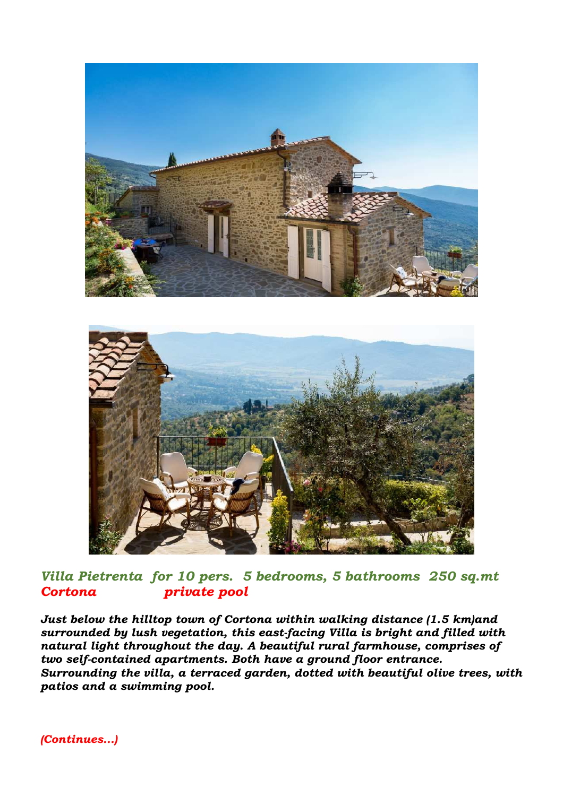



*Villa Pietrenta for 10 pers. 5 bedrooms, 5 bathrooms 250 sq.mt Cortona private pool* 

*Just below the hilltop town of Cortona within walking distance (1.5 km)and surrounded by lush vegetation, this east-facing Villa is bright and filled with natural light throughout the day. A beautiful rural farmhouse, comprises of two self-contained apartments. Both have a ground floor entrance. Surrounding the villa, a terraced garden, dotted with beautiful olive trees, with patios and a swimming pool.* 

*(Continues…)*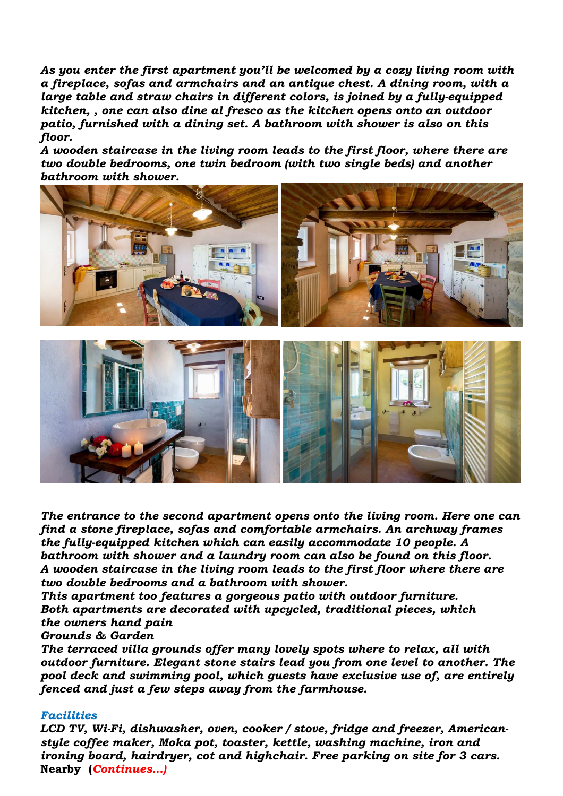*As you enter the first apartment you'll be welcomed by a cozy living room with a fireplace, sofas and armchairs and an antique chest. A dining room, with a large table and straw chairs in different colors, is joined by a fully-equipped kitchen, , one can also dine al fresco as the kitchen opens onto an outdoor patio, furnished with a dining set. A bathroom with shower is also on this floor.* 

*A wooden staircase in the living room leads to the first floor, where there are two double bedrooms, one twin bedroom (with two single beds) and another bathroom with shower.* 



*The entrance to the second apartment opens onto the living room. Here one can find a stone fireplace, sofas and comfortable armchairs. An archway frames the fully-equipped kitchen which can easily accommodate 10 people. A bathroom with shower and a laundry room can also be found on this floor. A wooden staircase in the living room leads to the first floor where there are two double bedrooms and a bathroom with shower.* 

*This apartment too features a gorgeous patio with outdoor furniture. Both apartments are decorated with upcycled, traditional pieces, which the owners hand pain* 

*Grounds & Garden* 

*The terraced villa grounds offer many lovely spots where to relax, all with outdoor furniture. Elegant stone stairs lead you from one level to another. The pool deck and swimming pool, which guests have exclusive use of, are entirely fenced and just a few steps away from the farmhouse.* 

## *Facilities*

*LCD TV, Wi-Fi, dishwasher, oven, cooker / stove, fridge and freezer, Americanstyle coffee maker, Moka pot, toaster, kettle, washing machine, iron and ironing board, hairdryer, cot and highchair. Free parking on site for 3 cars.*  **Nearby (***Continues…)*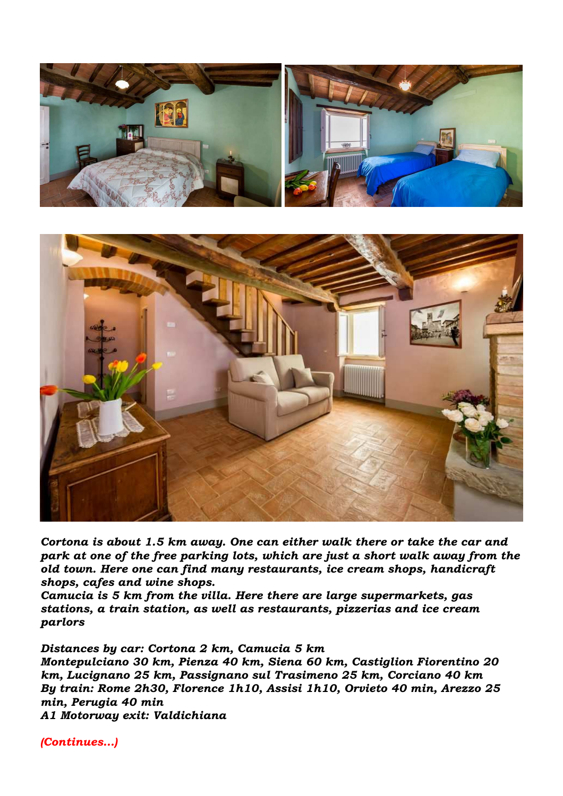



*Cortona is about 1.5 km away. One can either walk there or take the car and park at one of the free parking lots, which are just a short walk away from the old town. Here one can find many restaurants, ice cream shops, handicraft shops, cafes and wine shops.* 

*Camucia is 5 km from the villa. Here there are large supermarkets, gas stations, a train station, as well as restaurants, pizzerias and ice cream parlors* 

*Distances by car: Cortona 2 km, Camucia 5 km* 

*Montepulciano 30 km, Pienza 40 km, Siena 60 km, Castiglion Fiorentino 20 km, Lucignano 25 km, Passignano sul Trasimeno 25 km, Corciano 40 km By train: Rome 2h30, Florence 1h10, Assisi 1h10, Orvieto 40 min, Arezzo 25 min, Perugia 40 min A1 Motorway exit: Valdichiana*

*(Continues…)*